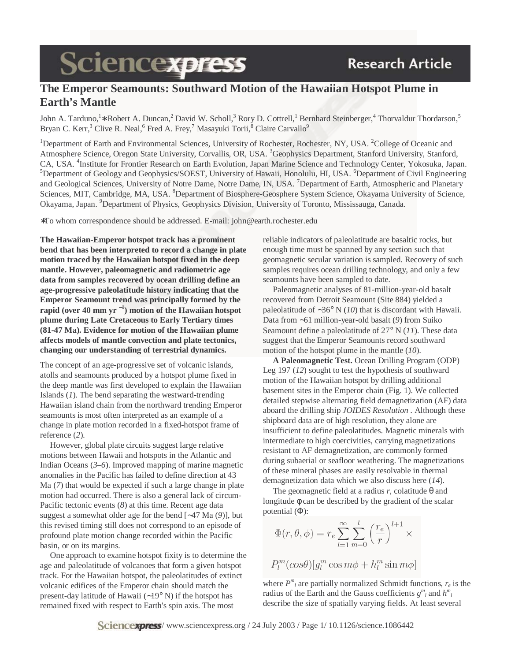# **Sciencexpress**

## **The Emperor Seamounts: Southward Motion of the Hawaiian Hotspot Plume in Earth's Mantle**

John A. Tarduno,<sup>1</sup>\* Robert A. Duncan,<sup>2</sup> David W. Scholl,<sup>3</sup> Rory D. Cottrell,<sup>1</sup> Bernhard Steinberger,<sup>4</sup> Thorvaldur Thordarson,<sup>5</sup> Bryan C. Kerr,<sup>3</sup> Clive R. Neal,<sup>6</sup> Fred A. Frey,<sup>7</sup> Masayuki Torii,<sup>8</sup> Claire Carvallo<sup>9</sup>

<sup>1</sup>Department of Earth and Environmental Sciences, University of Rochester, Rochester, NY, USA. <sup>2</sup>College of Oceanic and Atmosphere Science, Oregon State University, Corvallis, OR, USA. <sup>3</sup>Geophysics Department, Stanford University, Stanford, CA, USA. <sup>4</sup>Institute for Frontier Research on Earth Evolution, Japan Marine Science and Technology Center, Yokosuka, Japan. <sup>5</sup>Department of Geology and Geophysics/SOEST, University of Hawaii, Honolulu, HI, USA. <sup>6</sup>Department of Civil Engineering and Geological Sciences, University of Notre Dame, Notre Dame, IN, USA. <sup>7</sup>Department of Earth, Atmospheric and Planetary Sciences, MIT, Cambridge, MA, USA. <sup>8</sup>Department of Biosphere-Geosphere System Science, Okayama University of Science, Okayama, Japan. <sup>9</sup>Department of Physics, Geophysics Division, University of Toronto, Mississauga, Canada.

∗To whom correspondence should be addressed. E-mail: john@earth.rochester.edu

**The Hawaiian-Emperor hotspot track has a prominent bend that has been interpreted to record a change in plate motion traced by the Hawaiian hotspot fixed in the deep mantle. However, paleomagnetic and radiometric age data from samples recovered by ocean drilling define an age-progressive paleolatitude history indicating that the Emperor Seamount trend was principally formed by the rapid (over 40 mm yr** <sup>−</sup>**<sup>1</sup> ) motion of the Hawaiian hotspot plume during Late Cretaceous to Early Tertiary times (81-47 Ma). Evidence for motion of the Hawaiian plume affects models of mantle convection and plate tectonics, changing our understanding of terrestrial dynamics.**

The concept of an age-progressive set of volcanic islands, atolls and seamounts produced by a hotspot plume fixed in the deep mantle was first developed to explain the Hawaiian Islands (*1*). The bend separating the westward-trending Hawaiian island chain from the northward trending Emperor seamounts is most often interpreted as an example of a change in plate motion recorded in a fixed-hotspot frame of reference (*2*).

However, global plate circuits suggest large relative motions between Hawaii and hotspots in the Atlantic and Indian Oceans (*3*–*6*). Improved mapping of marine magnetic anomalies in the Pacific has failed to define direction at 43 Ma (*7*) that would be expected if such a large change in plate motion had occurred. There is also a general lack of circum-Pacific tectonic events (*8*) at this time. Recent age data suggest a somewhat older age for the bend [∼47 Ma (*9*)], but this revised timing still does not correspond to an episode of profound plate motion change recorded within the Pacific basin, or on its margins.

One approach to examine hotspot fixity is to determine the age and paleolatitude of volcanoes that form a given hotspot track. For the Hawaiian hotspot, the paleolatitudes of extinct volcanic edifices of the Emperor chain should match the present-day latitude of Hawaii (∼19° N) if the hotspot has remained fixed with respect to Earth's spin axis. The most

reliable indicators of paleolatitude are basaltic rocks, but enough time must be spanned by any section such that geomagnetic secular variation is sampled. Recovery of such samples requires ocean drilling technology, and only a few seamounts have been sampled to date.

Paleomagnetic analyses of 81-million-year-old basalt recovered from Detroit Seamount (Site 884) yielded a paleolatitude of ∼36° N (*10*) that is discordant with Hawaii. Data from ∼61 million-year-old basalt (*9*) from Suiko Seamount define a paleolatitude of 27° N (*11*). These data suggest that the Emperor Seamounts record southward motion of the hotspot plume in the mantle (*10*).

**A Paleomagnetic Test.** Ocean Drilling Program (ODP) Leg 197 (*12*) sought to test the hypothesis of southward motion of the Hawaiian hotspot by drilling additional basement sites in the Emperor chain (Fig. 1). We collected detailed stepwise alternating field demagnetization (AF) data aboard the drilling ship *JOIDES Resolution* . Although these shipboard data are of high resolution, they alone are insufficient to define paleolatitudes. Magnetic minerals with intermediate to high coercivities, carrying magnetizations resistant to AF demagnetization, are commonly formed during subaerial or seafloor weathering. The magnetizations of these mineral phases are easily resolvable in thermal demagnetization data which we also discuss here (*14*).

The geomagnetic field at a radius  $r$ , colatitude  $\theta$  and longitude φ can be described by the gradient of the scalar potential (Φ):

$$
\Phi(r,\theta,\phi)=r_e\sum_{l=1}^{\infty}\sum_{m=0}^{l}\left(\frac{r_e}{r}\right)^{l+1}\times
$$

$$
P_l^m(\cos\theta)[g_l^m\cos m\phi + h_l^m\sin m\phi]
$$

where  $P^{m}$ <sub>*l*</sub> are partially normalized Schmidt functions,  $r_e$  is the radius of the Earth and the Gauss coefficients  $g^m_{\ l}$  and  $h^m_{\ l}$ describe the size of spatially varying fields. At least several

**Sciencexpress**/www.sciencexpress.org / 24 July 2003 / Page  $1/10.1126$ /science.1086442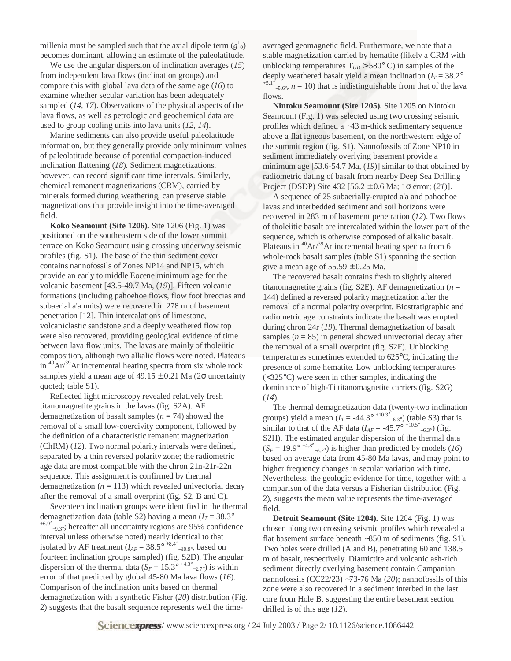millenia must be sampled such that the axial dipole term  $(g<sup>1</sup><sub>0</sub>)$ becomes dominant, allowing an estimate of the paleolatitude.

We use the angular dispersion of inclination averages (*15*) from independent lava flows (inclination groups) and compare this with global lava data of the same age (*16*) to examine whether secular variation has been adequately sampled (*14*, *17*). Observations of the physical aspects of the lava flows, as well as petrologic and geochemical data are used to group cooling units into lava units (*12*, *14*).

Marine sediments can also provide useful paleolatitude information, but they generally provide only minimum values of paleolatitude because of potential compaction-induced inclination flattening (*18*). Sediment magnetizations, however, can record significant time intervals. Similarly, chemical remanent magnetizations (CRM), carried by minerals formed during weathering, can preserve stable magnetizations that provide insight into the time-averaged field.

**Koko Seamount (Site 1206).** Site 1206 (Fig. 1) was positioned on the southeastern side of the lower summit terrace on Koko Seamount using crossing underway seismic profiles (fig. S1). The base of the thin sediment cover contains nannofossils of Zones NP14 and NP15, which provide an early to middle Eocene minimum age for the volcanic basement [43.5-49.7 Ma, (*19*)]. Fifteen volcanic formations (including pahoehoe flows, flow foot breccias and subaerial a'a units) were recovered in 278 m of basement penetration [12]. Thin intercalations of limestone, volcaniclastic sandstone and a deeply weathered flow top were also recovered, providing geological evidence of time between lava flow units. The lavas are mainly of tholeiitic composition, although two alkalic flows were noted. Plateaus in  ${}^{40}Ar^{39}Ar$  incremental heating spectra from six whole rock samples yield a mean age of  $49.15 \pm 0.21$  Ma ( $2\sigma$  uncertainty quoted; table S1).

Reflected light microscopy revealed relatively fresh titanomagnetite grains in the lavas (fig. S2A). AF demagnetization of basalt samples (*n* = 74) showed the removal of a small low-coercivity component, followed by the definition of a characteristic remanent magnetization (ChRM) (*12*). Two normal polarity intervals were defined, separated by a thin reversed polarity zone; the radiometric age data are most compatible with the chron 21n-21r-22n sequence. This assignment is confirmed by thermal demagnetization  $(n = 113)$  which revealed univectorial decay after the removal of a small overprint (fig. S2, B and C).

Seventeen inclination groups were identified in the thermal demagnetization data (table S2) having a mean  $(I_T = 38.3^\circ)$  $^{+6.9^{\circ}}$ <sub>-9.3°</sub>; hereafter all uncertainty regions are 95% confidence interval unless otherwise noted) nearly identical to that isolated by AF treatment  $(I_{AF} = 38.5^{\circ}$  <sup>+8.4°</sup> –<sub>10.9°</sub>, based on fourteen inclination groups sampled) (fig. S2D). The angular dispersion of the thermal data ( $S_F = 15.3^{\circ}$ <sup>+4.3°</sup> –2.7°) is within error of that predicted by global 45-80 Ma lava flows (*16*). Comparison of the inclination units based on thermal demagnetization with a synthetic Fisher (*20*) distribution (Fig. 2) suggests that the basalt sequence represents well the timeaveraged geomagnetic field. Furthermore, we note that a stable magnetization carried by hematite (likely a CRM with unblocking temperatures  $T_{UB}$  > 580° C) in samples of the deeply weathered basalt yield a mean inclination ( $I_T = 38.2^\circ$ )  $^{+5.1^\circ}$ <sub>-5.6°</sub>, *n* = 10) that is indistinguishable from that of the lava flows

**Nintoku Seamount (Site 1205).** Site 1205 on Nintoku Seamount (Fig. 1) was selected using two crossing seismic profiles which defined a ∼43 m-thick sedimentary sequence above a flat igneous basement, on the northwestern edge of the summit region (fig. S1). Nannofossils of Zone NP10 in sediment immediately overlying basement provide a minimum age [53.6-54.7 Ma, (*19*)] similar to that obtained by radiometric dating of basalt from nearby Deep Sea Drilling Project (DSDP) Site 432 [56.2 ± 0.6 Ma; 1σ error; (*21*)].

A sequence of 25 subaerially-erupted a'a and pahoehoe lavas and interbedded sediment and soil horizons were recovered in 283 m of basement penetration (*12*). Two flows of tholeiitic basalt are intercalated within the lower part of the sequence, which is otherwise composed of alkalic basalt. Plateaus in  $^{40}Ar/^{39}Ar$  incremental heating spectra from 6 whole-rock basalt samples (table S1) spanning the section give a mean age of  $55.59 \pm 0.25$  Ma.

The recovered basalt contains fresh to slightly altered titanomagnetite grains (fig. S2E). AF demagnetization ( $n =$ 144) defined a reversed polarity magnetization after the removal of a normal polarity overprint. Biostratigraphic and radiometric age constraints indicate the basalt was erupted during chron 24r (*19*). Thermal demagnetization of basalt samples  $(n = 85)$  in general showed univectorial decay after the removal of a small overprint (fig. S2F). Unblocking temperatures sometimes extended to 625°C, indicating the presence of some hematite. Low unblocking temperatures (<325°C) were seen in other samples, indicating the dominance of high-Ti titanomagnetite carriers (fig. S2G) (*14*).

The thermal demagnetization data (twenty-two inclination groups) yield a mean  $(I_T = -44.3^{\circ} {}^{+10.3^{\circ}} {}_{-6.3^{\circ}})$  (table S3) that is similar to that of the AF data  $(I_{AF} = -45.7^{\circ} {}^{+10.5^{\circ}} {}_{-6.3^{\circ}})$  (fig. S2H). The estimated angular dispersion of the thermal data  $(S_F = 19.9^{\circ}$ <sup>+4.8°</sup> $_{-3.2^{\circ}}$ ) is higher than predicted by models (*16*) based on average data from 45-80 Ma lavas, and may point to higher frequency changes in secular variation with time. Nevertheless, the geologic evidence for time, together with a comparison of the data versus a Fisherian distribution (Fig. 2), suggests the mean value represents the time-averaged field.

**Detroit Seamount (Site 1204).** Site 1204 (Fig. 1) was chosen along two crossing seismic profiles which revealed a flat basement surface beneath ∼850 m of sediments (fig. S1). Two holes were drilled (A and B), penetrating 60 and 138.5 m of basalt, respectively. Diamictite and volcanic ash-rich sediment directly overlying basement contain Campanian nannofossils (CC22/23) ∼73-76 Ma (*20*); nannofossils of this zone were also recovered in a sediment interbed in the last core from Hole B, suggesting the entire basement section drilled is of this age (*12*).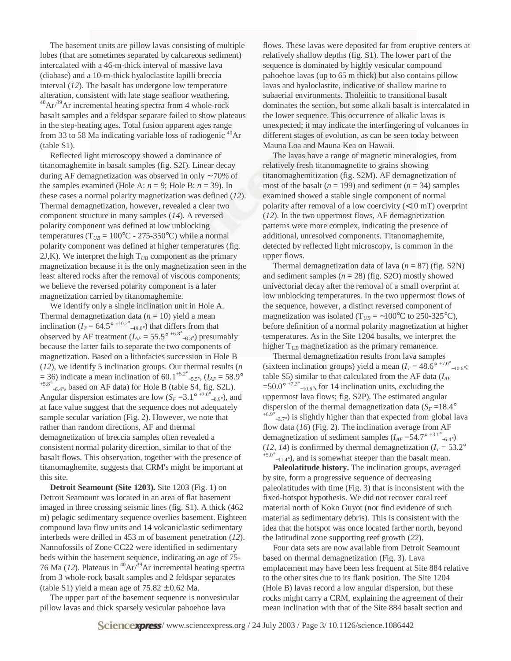The basement units are pillow lavas consisting of multiple lobes (that are sometimes separated by calcareous sediment) intercalated with a 46-m-thick interval of massive lava (diabase) and a 10-m-thick hyaloclastite lapilli breccia interval (*12*). The basalt has undergone low temperature alteration, consistent with late stage seafloor weathering.  $^{40}Ar/^{39}Ar$  incremental heating spectra from 4 whole-rock basalt samples and a feldspar separate failed to show plateaus in the step-heating ages. Total fusion apparent ages range from 33 to 58 Ma indicating variable loss of radiogenic  $^{40}Ar$ (table S1).

Reflected light microscopy showed a dominance of titanomaghemite in basalt samples (fig. S2I). Linear decay during AF demagnetization was observed in only ∼ 70% of the samples examined (Hole A:  $n = 9$ ; Hole B:  $n = 39$ ). In these cases a normal polarity magnetization was defined (*12*). Thermal demagnetization, however, revealed a clear two component structure in many samples (*14*). A reversed polarity component was defined at low unblocking temperatures ( $T_{UB}$  = 100°C - 275-350°C) while a normal polarity component was defined at higher temperatures (fig. 2J,K). We interpret the high  $T_{UB}$  component as the primary magnetization because it is the only magnetization seen in the least altered rocks after the removal of viscous components; we believe the reversed polarity component is a later magnetization carried by titanomaghemite.

We identify only a single inclination unit in Hole A. Thermal demagnetization data  $(n = 10)$  yield a mean inclination ( $I_T = 64.5^{\circ}$ <sup>+10.2°</sup><sub>-19.0°</sub>) that differs from that observed by AF treatment  $(I_{AF} = 55.5^{\circ}$  <sup>+6.8°</sup><sub>-8.3°</sub>) presumably because the latter fails to separate the two components of magnetization. Based on a lithofacies succession in Hole B (*12*), we identify 5 inclination groups. Our thermal results (*n*  $=$  36) indicate a mean inclination of 60.1<sup>+5.2°</sup> -5.5°,  $(I_{AF} = 58.9$ °<br><sup>+5.8°</sup> has ad an AE data) for Hala B (table SA, fig. S2L)  $^{+5.8^{\circ}}$ <sub>−6.4°</sub>, based on AF data) for Hole B (table S4, fig. S2L). Angular dispersion estimates are low  $(S_F = 3.1^{\circ}$  <sup>+2.0°</sup><sub>-0.9°</sub>), and at face value suggest that the sequence does not adequately sample secular variation (Fig. 2). However, we note that rather than random directions, AF and thermal demagnetization of breccia samples often revealed a consistent normal polarity direction, similar to that of the basalt flows. This observation, together with the presence of titanomaghemite, suggests that CRM's might be important at this site.

**Detroit Seamount (Site 1203).** Site 1203 (Fig. 1) on Detroit Seamount was located in an area of flat basement imaged in three crossing seismic lines (fig. S1). A thick (462 m) pelagic sedimentary sequence overlies basement. Eighteen compound lava flow units and 14 volcaniclastic sedimentary interbeds were drilled in 453 m of basement penetration (*12*). Nannofossils of Zone CC22 were identified in sedimentary beds within the basement sequence, indicating an age of 75- 76 Ma  $(12)$ . Plateaus in <sup>40</sup>Ar $/39$ Ar incremental heating spectra from 3 whole-rock basalt samples and 2 feldspar separates (table S1) yield a mean age of  $75.82 \pm 0.62$  Ma.

The upper part of the basement sequence is nonvesicular pillow lavas and thick sparsely vesicular pahoehoe lava

flows. These lavas were deposited far from eruptive centers at relatively shallow depths (fig. S1). The lower part of the sequence is dominated by highly vesicular compound pahoehoe lavas (up to 65 m thick) but also contains pillow lavas and hyaloclastite, indicative of shallow marine to subaerial environments. Tholeiitic to transitional basalt dominates the section, but some alkali basalt is intercalated in the lower sequence. This occurrence of alkalic lavas is unexpected; it may indicate the interfingering of volcanoes in different stages of evolution, as can be seen today between Mauna Loa and Mauna Kea on Hawaii.

The lavas have a range of magnetic mineralogies, from relatively fresh titanomagnetite to grains showing titanomaghemitization (fig. S2M). AF demagnetization of most of the basalt ( $n = 199$ ) and sediment ( $n = 34$ ) samples examined showed a stable single component of normal polarity after removal of a low coercivity (<10 mT) overprint (*12*). In the two uppermost flows, AF demagnetization patterns were more complex, indicating the presence of additional, unresolved components. Titanomaghemite, detected by reflected light microscopy, is common in the upper flows.

Thermal demagnetization data of lava  $(n = 87)$  (fig. S2N) and sediment samples  $(n = 28)$  (fig. S2O) mostly showed univectorial decay after the removal of a small overprint at low unblocking temperatures. In the two uppermost flows of the sequence, however, a distinct reversed component of magnetization was isolated ( $T_{UB} = \sim 100^{\circ}C$  to 250-325°C), before definition of a normal polarity magnetization at higher temperatures. As in the Site 1204 basalts, we interpret the higher T<sub>UB</sub> magnetization as the primary remanence.

Thermal demagnetization results from lava samples (sixteen inclination groups) yield a mean  $(I_T = 48.6^{\circ}$  <sup>+7.0°</sup> -<sub>10.6°</sub>; table S5) similar to that calculated from the AF data (*IAF*  $=50.0^{\circ}$  <sup>+7.3°</sup> <sub>-10.6°</sub>, for 14 inclination units, excluding the uppermost lava flows; fig. S2P). The estimated angular dispersion of the thermal demagnetization data  $(S_F = 18.4^\circ)$  $^{+6.9^{\circ}}$ <sub>-3.7°</sub>) is slightly higher than that expected from global lava flow data (*16*) (Fig. 2). The inclination average from AF demagnetization of sediment samples  $(I_{AF} = 54.7^{\circ}$ <sup>+3.1°</sup> –6.4°) (12, 14) is confirmed by thermal demagnetization ( $I_T = 53.2^\circ$ )  $^{+5.0^{\circ}}$ <sub>-11.4</sub>°), and is somewhat steeper than the basalt mean.

**Paleolatitude history.** The inclination groups, averaged by site, form a progressive sequence of decreasing paleolatitudes with time (Fig. 3) that is inconsistent with the fixed-hotspot hypothesis. We did not recover coral reef material north of Koko Guyot (nor find evidence of such material as sedimentary debris). This is consistent with the idea that the hotspot was once located farther north, beyond the latitudinal zone supporting reef growth (*22*).

Four data sets are now available from Detroit Seamount based on thermal demagnetization (Fig. 3). Lava emplacement may have been less frequent at Site 884 relative to the other sites due to its flank position. The Site 1204 (Hole B) lavas record a low angular dispersion, but these rocks might carry a CRM, explaining the agreement of their mean inclination with that of the Site 884 basalt section and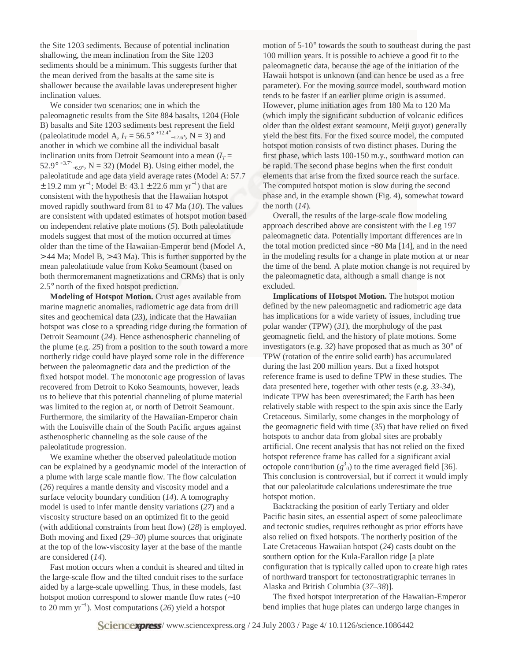the Site 1203 sediments. Because of potential inclination shallowing, the mean inclination from the Site 1203 sediments should be a minimum. This suggests further that the mean derived from the basalts at the same site is shallower because the available lavas underepresent higher inclination values.

We consider two scenarios; one in which the paleomagnetic results from the Site 884 basalts, 1204 (Hole B) basalts and Site 1203 sediments best represent the field (paleolatitude model A,  $I_T = 56.5^{\circ}$  <sup>+12.4°</sup> –<sub>12.6°</sub>, N = 3) and another in which we combine all the individual basalt inclination units from Detroit Seamount into a mean  $(I_T =$ 52.9°  $+3.7^\circ$ <sub>-6.9°</sub>, N = 32) (Model B). Using either model, the paleolatitude and age data yield average rates (Model A: 57.7  $\pm$  19.2 mm yr<sup>-1</sup>; Model B: 43.1  $\pm$  22.6 mm yr<sup>-1</sup>) that are consistent with the hypothesis that the Hawaiian hotspot moved rapidly southward from 81 to 47 Ma (*10*). The values are consistent with updated estimates of hotspot motion based on independent relative plate motions (*5*). Both paleolatitude models suggest that most of the motion occurred at times older than the time of the Hawaiian-Emperor bend (Model A, > 44 Ma; Model B, > 43 Ma). This is further supported by the mean paleolatitude value from Koko Seamount (based on both thermoremanent magnetizations and CRMs) that is only 2.5° north of the fixed hotspot prediction.

**Modeling of Hotspot Motion.** Crust ages available from marine magnetic anomalies, radiometric age data from drill sites and geochemical data (*23*), indicate that the Hawaiian hotspot was close to a spreading ridge during the formation of Detroit Seamount (*24*). Hence asthenospheric channeling of the plume (e.g. *25*) from a position to the south toward a more northerly ridge could have played some role in the difference between the paleomagnetic data and the prediction of the fixed hotspot model. The monotonic age progression of lavas recovered from Detroit to Koko Seamounts, however, leads us to believe that this potential channeling of plume material was limited to the region at, or north of Detroit Seamount. Furthermore, the similarity of the Hawaiian-Emperor chain with the Louisville chain of the South Pacific argues against asthenospheric channeling as the sole cause of the paleolatitude progression.

We examine whether the observed paleolatitude motion can be explained by a geodynamic model of the interaction of a plume with large scale mantle flow. The flow calculation (*26*) requires a mantle density and viscosity model and a surface velocity boundary condition (*14*). A tomography model is used to infer mantle density variations (*27*) and a viscosity structure based on an optimized fit to the geoid (with additional constraints from heat flow) (*28*) is employed. Both moving and fixed (*29*–*30*) plume sources that originate at the top of the low-viscosity layer at the base of the mantle are considered (*14*).

Fast motion occurs when a conduit is sheared and tilted in the large-scale flow and the tilted conduit rises to the surface aided by a large-scale upwelling. Thus, in these models, fast hotspot motion correspond to slower mantle flow rates (∼10 to 20 mm yr<sup>−</sup><sup>1</sup> ). Most computations (*26*) yield a hotspot

motion of 5-10° towards the south to southeast during the past 100 million years. It is possible to achieve a good fit to the paleomagnetic data, because the age of the initiation of the Hawaii hotspot is unknown (and can hence be used as a free parameter). For the moving source model, southward motion tends to be faster if an earlier plume origin is assumed. However, plume initiation ages from 180 Ma to 120 Ma (which imply the significant subduction of volcanic edifices older than the oldest extant seamount, Meiji guyot) generally yield the best fits. For the fixed source model, the computed hotspot motion consists of two distinct phases. During the first phase, which lasts 100-150 m.y., southward motion can be rapid. The second phase begins when the first conduit elements that arise from the fixed source reach the surface. The computed hotspot motion is slow during the second phase and, in the example shown (Fig. 4), somewhat toward the north (*14*).

Overall, the results of the large-scale flow modeling approach described above are consistent with the Leg 197 paleomagnetic data. Potentially important differences are in the total motion predicted since ∼80 Ma [14], and in the need in the modeling results for a change in plate motion at or near the time of the bend. A plate motion change is not required by the paleomagnetic data, although a small change is not excluded.

**Implications of Hotspot Motion.** The hotspot motion defined by the new paleomagnetic and radiometric age data has implications for a wide variety of issues, including true polar wander (TPW) (*31*), the morphology of the past geomagnetic field, and the history of plate motions. Some investigators (e.g. *32*) have proposed that as much as 30° of TPW (rotation of the entire solid earth) has accumulated during the last 200 million years. But a fixed hotspot reference frame is used to define TPW in these studies. The data presented here, together with other tests (e.g. *33-34*), indicate TPW has been overestimated; the Earth has been relatively stable with respect to the spin axis since the Early Cretaceous. Similarly, some changes in the morphology of the geomagnetic field with time (*35*) that have relied on fixed hotspots to anchor data from global sites are probably artificial. One recent analysis that has not relied on the fixed hotspot reference frame has called for a significant axial octopole contribution  $(g^3)_0$  to the time averaged field [36]. This conclusion is controversial, but if correct it would imply that our paleolatitude calculations underestimate the true hotspot motion.

Backtracking the position of early Tertiary and older Pacific basin sites, an essential aspect of some paleoclimate and tectonic studies, requires rethought as prior efforts have also relied on fixed hotspots. The northerly position of the Late Cretaceous Hawaiian hotspot (*24*) casts doubt on the southern option for the Kula-Farallon ridge [a plate configuration that is typically called upon to create high rates of northward transport for tectonostratigraphic terranes in Alaska and British Columbia (*37*–*38*)].

The fixed hotspot interpretation of the Hawaiian-Emperor bend implies that huge plates can undergo large changes in

**Sciencexpress**/www.sciencexpress.org / 24 July 2003 / Page  $4/10.1126$ /science.1086442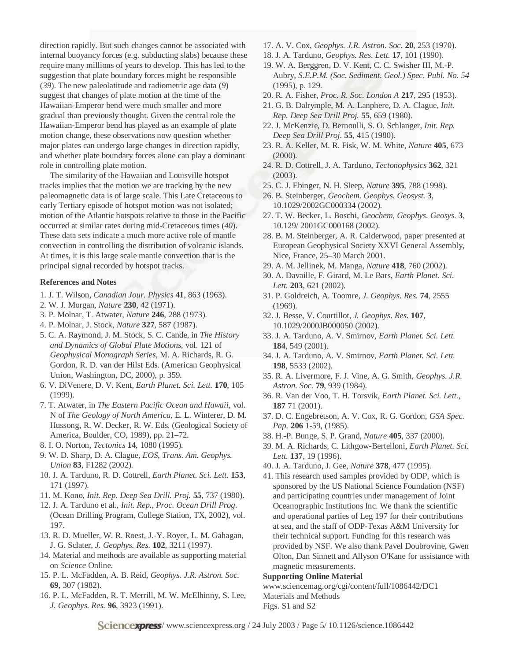direction rapidly. But such changes cannot be associated with internal buoyancy forces (e.g. subducting slabs) because these require many millions of years to develop. This has led to the suggestion that plate boundary forces might be responsible (*39*). The new paleolatitude and radiometric age data (*9*) suggest that changes of plate motion at the time of the Hawaiian-Emperor bend were much smaller and more gradual than previously thought. Given the central role the Hawaiian-Emperor bend has played as an example of plate motion change, these observations now question whether major plates can undergo large changes in direction rapidly, and whether plate boundary forces alone can play a dominant role in controlling plate motion.

The similarity of the Hawaiian and Louisville hotspot tracks implies that the motion we are tracking by the new paleomagnetic data is of large scale. This Late Cretaceous to early Tertiary episode of hotspot motion was not isolated; motion of the Atlantic hotspots relative to those in the Pacific occurred at similar rates during mid-Cretaceous times (*40*). These data sets indicate a much more active role of mantle convection in controlling the distribution of volcanic islands. At times, it is this large scale mantle convection that is the principal signal recorded by hotspot tracks.

#### **References and Notes**

- 1. J. T. Wilson, *Canadian Jour. Physics* **41**, 863 (1963).
- 2. W. J. Morgan, *Nature* **230**, 42 (1971).
- 3. P. Molnar, T. Atwater, *Nature* **246**, 288 (1973).
- 4. P. Molnar, J. Stock, *Nature* **327**, 587 (1987).
- 5. C. A. Raymond, J. M. Stock, S. C. Cande, in *The History and Dynamics of Global Plate Motions*, vol. 121 of *Geophysical Monograph Series*, M. A. Richards, R. G. Gordon, R. D. van der Hilst Eds. (American Geophysical Union, Washington, DC, 2000), p. 359.
- 6. V. DiVenere, D. V. Kent, *Earth Planet. Sci. Lett.* **170**, 105 (1999).
- 7. T. Atwater, in *The Eastern Pacific Ocean and Hawaii*, vol. N of *The Geology of North America*, E. L. Winterer, D. M. Hussong, R. W. Decker, R. W. Eds. (Geological Society of America, Boulder, CO, 1989), pp. 21–72.
- 8. I. O. Norton, *Tectonics* **14**, 1080 (1995).
- 9. W. D. Sharp, D. A. Clague, *EOS, Trans. Am. Geophys. Union* **83**, F1282 (2002).
- 10. J. A. Tarduno, R. D. Cottrell, *Earth Planet. Sci. Lett.* **153**, 171 (1997).
- 11. M. Kono, *Init. Rep. Deep Sea Drill. Proj.* **55**, 737 (1980).
- 12. J. A. Tarduno et al., *Init. Rep., Proc. Ocean Drill Prog.* (Ocean Drilling Program, College Station, TX, 2002), vol. 197.
- 13. R. D. Mueller, W. R. Roest, J.-Y. Royer, L. M. Gahagan, J. G. Sclater, *J. Geophys. Res.* **102**, 3211 (1997).
- 14. Material and methods are available as supporting material on *Science* Online.
- 15. P. L. McFadden, A. B. Reid, *Geophys. J.R. Astron. Soc.* **69**, 307 (1982).
- 16. P. L. McFadden, R. T. Merrill, M. W. McElhinny, S. Lee, *J. Geophys. Res.* **96**, 3923 (1991).
- 17. A. V. Cox, *Geophys. J.R. Astron. Soc.* **20**, 253 (1970).
- 18. J. A. Tarduno, *Geophys. Res. Lett.* **17**, 101 (1990).
- 19. W. A. Berggren, D. V. Kent, C. C. Swisher III, M.-P. Aubry, *S.E.P.M. (Soc. Sediment. Geol.) Spec. Publ. No. 54* (1995), p. 129.
- 20. R. A. Fisher, *Proc. R. Soc. London A* **217**, 295 (1953).
- 21. G. B. Dalrymple, M. A. Lanphere, D. A. Clague, *Init. Rep. Deep Sea Drill Proj.* **55**, 659 (1980).
- 22. J. McKenzie, D. Bernoulli, S. O. Schlanger, *Init. Rep. Deep Sea Drill Proj.* **55**, 415 (1980).
- 23. R. A. Keller, M. R. Fisk, W. M. White, *Nature* **405**, 673 (2000).
- 24. R. D. Cottrell, J. A. Tarduno, *Tectonophysics* **362**, 321 (2003).
- 25. C. J. Ebinger, N. H. Sleep, *Nature* **395**, 788 (1998).
- 26. B. Steinberger, *Geochem. Geophys. Geosyst.* **3**, 10.1029/2002GC000334 (2002).
- 27. T. W. Becker, L. Boschi, *Geochem, Geophys. Geosys.* **3**, 10.129/ 2001GC000168 (2002).
- 28. B. M. Steinberger, A. R. Calderwood, paper presented at European Geophysical Society XXVI General Assembly, Nice, France, 25–30 March 2001.
- 29. A. M. Jellinek, M. Manga, *Nature* **418**, 760 (2002).
- 30. A. Davaille, F. Girard, M. Le Bars, *Earth Planet. Sci. Lett.* **203**, 621 (2002).
- 31. P. Goldreich, A. Toomre, *J. Geophys. Res.* **74**, 2555 (1969).
- 32. J. Besse, V. Courtillot, *J. Geophys. Res.* **107**, 10.1029/2000JB000050 (2002).
- 33. J. A. Tarduno, A. V. Smirnov, *Earth Planet. Sci. Lett.* **184**, 549 (2001).
- 34. J. A. Tarduno, A. V. Smirnov, *Earth Planet. Sci. Lett.* **198**, 5533 (2002).
- 35. R. A. Livermore, F. J. Vine, A. G. Smith, *Geophys. J.R. Astron. Soc.* **79**, 939 (1984).
- 36. R. Van der Voo, T. H. Torsvik, *Earth Planet. Sci. Lett.*, **187** 71 (2001).
- 37. D. C. Engebretson, A. V. Cox, R. G. Gordon, *GSA Spec. Pap.* **206** 1-59, (1985).
- 38. H.-P. Bunge, S. P. Grand, *Nature* **405**, 337 (2000).
- 39. M. A. Richards, C. Lithgow-Bertelloni, *Earth Planet. Sci. Lett.* **137**, 19 (1996).
- 40. J. A. Tarduno, J. Gee, *Nature* **378**, 477 (1995).
- 41. This research used samples provided by ODP, which is sponsored by the US National Science Foundation (NSF) and participating countries under management of Joint Oceanographic Institutions Inc. We thank the scientific and operational parties of Leg 197 for their contributions at sea, and the staff of ODP-Texas A&M University for their technical support. Funding for this research was provided by NSF. We also thank Pavel Doubrovine, Gwen Olton, Dan Sinnett and Allyson O'Kane for assistance with magnetic measurements.

#### **Supporting Online Material**

www.sciencemag.org/cgi/content/full/1086442/DC1 Materials and Methods Figs. S1 and S2

**Sciencexpress**/www.sciencexpress.org / 24 July 2003 / Page 5/ 10.1126/science.1086442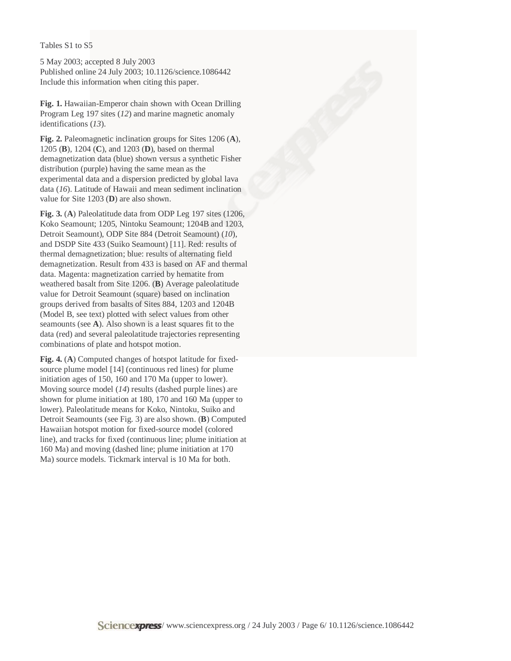### Tables S1 to S5

5 May 2003; accepted 8 July 2003 Published online 24 July 2003; 10.1126/science.1086442 Include this information when citing this paper.

**Fig. 1.** Hawaiian-Emperor chain shown with Ocean Drilling Program Leg 197 sites (*12*) and marine magnetic anomaly identifications (*13*).

**Fig. 2.** Paleomagnetic inclination groups for Sites 1206 (**A**), 1205 (**B**), 1204 (**C**), and 1203 (**D**), based on thermal demagnetization data (blue) shown versus a synthetic Fisher distribution (purple) having the same mean as the experimental data and a dispersion predicted by global lava data (*16*). Latitude of Hawaii and mean sediment inclination value for Site 1203 (**D**) are also shown.

**Fig. 3.** (**A**) Paleolatitude data from ODP Leg 197 sites (1206, Koko Seamount; 1205, Nintoku Seamount; 1204B and 1203, Detroit Seamount), ODP Site 884 (Detroit Seamount) (*10*), and DSDP Site 433 (Suiko Seamount) [11]. Red: results of thermal demagnetization; blue: results of alternating field demagnetization. Result from 433 is based on AF and thermal data. Magenta: magnetization carried by hematite from weathered basalt from Site 1206. (**B**) Average paleolatitude value for Detroit Seamount (square) based on inclination groups derived from basalts of Sites 884, 1203 and 1204B (Model B, see text) plotted with select values from other seamounts (see **A**). Also shown is a least squares fit to the data (red) and several paleolatitude trajectories representing combinations of plate and hotspot motion.

**Fig. 4.** (**A**) Computed changes of hotspot latitude for fixedsource plume model [14] (continuous red lines) for plume initiation ages of 150, 160 and 170 Ma (upper to lower). Moving source model (*14*) results (dashed purple lines) are shown for plume initiation at 180, 170 and 160 Ma (upper to lower). Paleolatitude means for Koko, Nintoku, Suiko and Detroit Seamounts (see Fig. 3) are also shown. (**B**) Computed Hawaiian hotspot motion for fixed-source model (colored line), and tracks for fixed (continuous line; plume initiation at 160 Ma) and moving (dashed line; plume initiation at 170 Ma) source models. Tickmark interval is 10 Ma for both.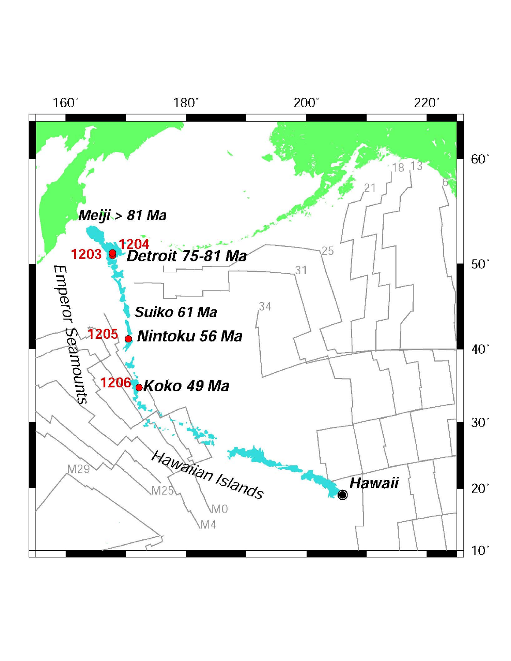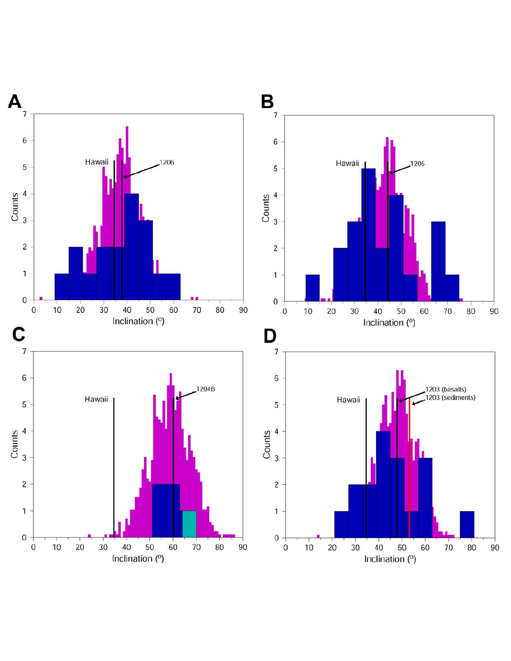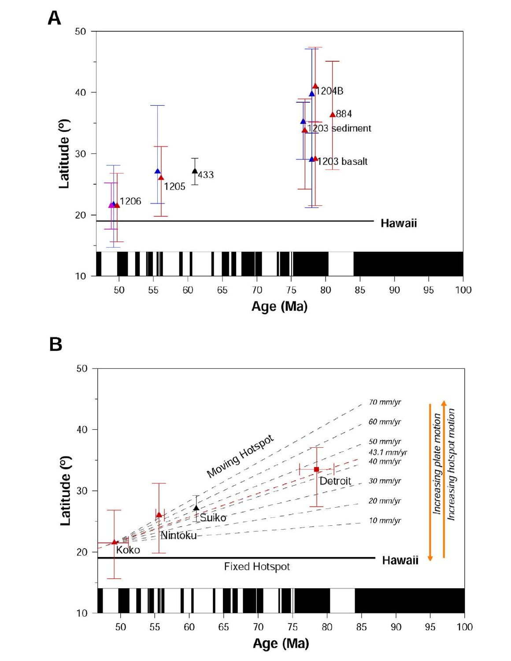